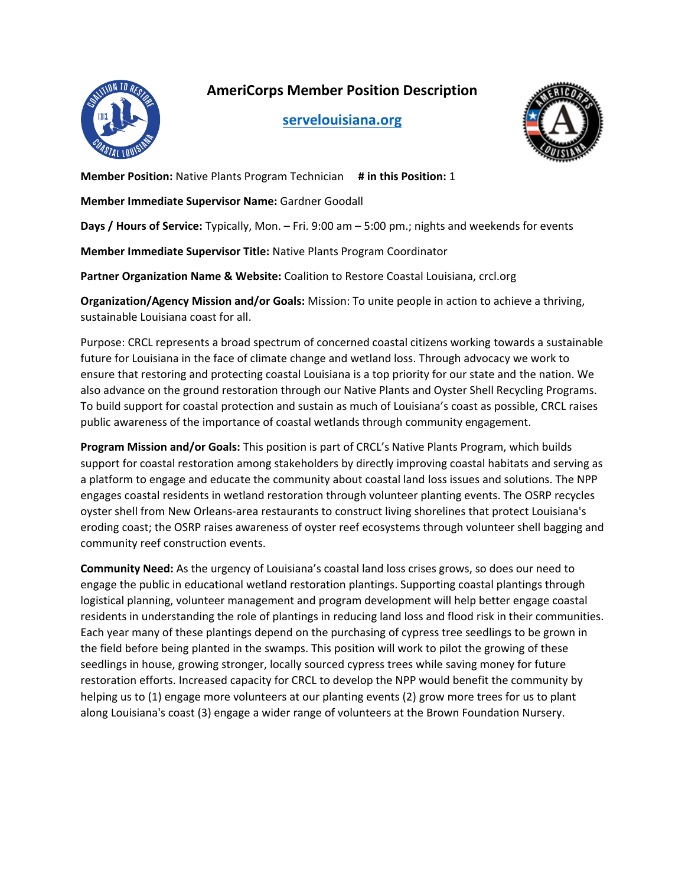**AmeriCorps Member Position Description**



**[servelouisiana.org](https://www.servelouisiana.org/)**



**Member Position:** Native Plants Program Technician **# in this Position:** 1

**Member Immediate Supervisor Name:** Gardner Goodall

**Days / Hours of Service:** Typically, Mon. – Fri. 9:00 am – 5:00 pm.; nights and weekends for events

**Member Immediate Supervisor Title:** Native Plants Program Coordinator

**Partner Organization Name & Website:** Coalition to Restore Coastal Louisiana, crcl.org

**Organization/Agency Mission and/or Goals:** Mission: To unite people in action to achieve a thriving, sustainable Louisiana coast for all.

Purpose: CRCL represents a broad spectrum of concerned coastal citizens working towards a sustainable future for Louisiana in the face of climate change and wetland loss. Through advocacy we work to ensure that restoring and protecting coastal Louisiana is a top priority for our state and the nation. We also advance on the ground restoration through our Native Plants and Oyster Shell Recycling Programs. To build support for coastal protection and sustain as much of Louisiana's coast as possible, CRCL raises public awareness of the importance of coastal wetlands through community engagement.

**Program Mission and/or Goals:** This position is part of CRCL's Native Plants Program, which builds support for coastal restoration among stakeholders by directly improving coastal habitats and serving as a platform to engage and educate the community about coastal land loss issues and solutions. The NPP engages coastal residents in wetland restoration through volunteer planting events. The OSRP recycles oyster shell from New Orleans-area restaurants to construct living shorelines that protect Louisiana's eroding coast; the OSRP raises awareness of oyster reef ecosystems through volunteer shell bagging and community reef construction events.

**Community Need:** As the urgency of Louisiana's coastal land loss crises grows, so does our need to engage the public in educational wetland restoration plantings. Supporting coastal plantings through logistical planning, volunteer management and program development will help better engage coastal residents in understanding the role of plantings in reducing land loss and flood risk in their communities. Each year many of these plantings depend on the purchasing of cypress tree seedlings to be grown in the field before being planted in the swamps. This position will work to pilot the growing of these seedlings in house, growing stronger, locally sourced cypress trees while saving money for future restoration efforts. Increased capacity for CRCL to develop the NPP would benefit the community by helping us to (1) engage more volunteers at our planting events (2) grow more trees for us to plant along Louisiana's coast (3) engage a wider range of volunteers at the Brown Foundation Nursery.